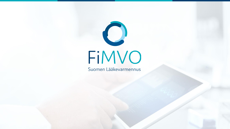

1.10.2020 1.10.2020 1.10.2020 1.10.2020 1.10.2020 1.10.2020 1.10.2020 1.10.2020 1.10.2020 1.10.2020 1.10.2020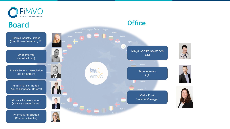

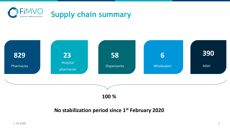



**No stabilization period since 1st February 2020**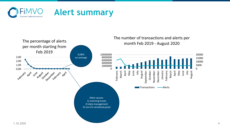

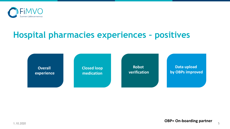

## **Hospital pharmacies experiences – positives**

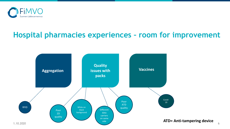

## **Hospital pharmacies experiences – room for improvement**